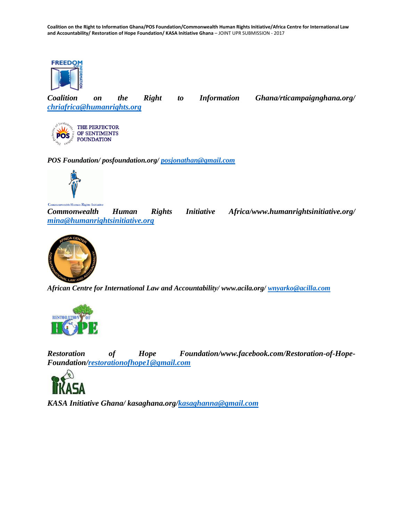**Coalition on the Right to Information Ghana/POS Foundation/Commonwealth Human Rights Initiative/Africa Centre for International Law and Accountability/ Restoration of Hope Foundation/ KASA Initiative Ghana** – JOINT UPR SUBMISSION - 2017



*Coalition on the Right to Information Ghana/rticampaignghana.org/ [chriafrica@humanrights.org](mailto:chriafrica@humanrights.org)*

THE PERFECTOR OF SENTIMENTS **POS FOUNDATION** 

*POS Foundation/ posfoundation.org/ [posjonathan@gmail.com](mailto:posjonathan@gmail.com)*



alth Human Rights Initiative

*Commonwealth Human Rights Initiative Africa/www.humanrightsinitiative.org/ [mina@humanrightsinitiative.org](mailto:mina@humanrightsinitiative.org)*



*African Centre for International Law and Accountability/ www.acila.org/ [wnyarko@acilla.com](mailto:wnyarko@acilaa.com)*



*Restoration of Hope Foundation/www.facebook.com/Restoration-of-Hope-Foundation[/restorationofhope1@gmail.com](mailto:restorationofhope1@gmail.com)*



*KASA Initiative Ghana/ kasaghana.org[/kasaghanna@gmail.com](mailto:kasaghana@gmail.com)*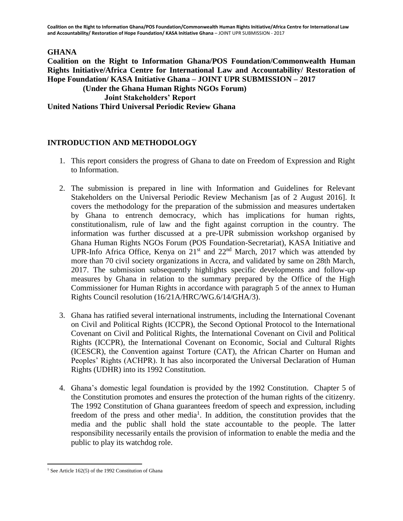**Coalition on the Right to Information Ghana/POS Foundation/Commonwealth Human Rights Initiative/Africa Centre for International Law and Accountability/ Restoration of Hope Foundation/ KASA Initiative Ghana** – JOINT UPR SUBMISSION - 2017

### **GHANA**

### **Coalition on the Right to Information Ghana/POS Foundation/Commonwealth Human Rights Initiative/Africa Centre for International Law and Accountability/ Restoration of Hope Foundation/ KASA Initiative Ghana – JOINT UPR SUBMISSION – 2017 (Under the Ghana Human Rights NGOs Forum) Joint Stakeholders' Report United Nations Third Universal Periodic Review Ghana**

## **INTRODUCTION AND METHODOLOGY**

- 1. This report considers the progress of Ghana to date on Freedom of Expression and Right to Information.
- 2. The submission is prepared in line with Information and Guidelines for Relevant Stakeholders on the Universal Periodic Review Mechanism [as of 2 August 2016]. It covers the methodology for the preparation of the submission and measures undertaken by Ghana to entrench democracy, which has implications for human rights, constitutionalism, rule of law and the fight against corruption in the country. The information was further discussed at a pre-UPR submission workshop organised by Ghana Human Rights NGOs Forum (POS Foundation-Secretariat), KASA Initiative and UPR-Info Africa Office, Kenya on  $21<sup>st</sup>$  and  $22<sup>nd</sup>$  March, 2017 which was attended by more than 70 civil society organizations in Accra, and validated by same on 28th March, 2017. The submission subsequently highlights specific developments and follow-up measures by Ghana in relation to the summary prepared by the Office of the High Commissioner for Human Rights in accordance with paragraph 5 of the annex to Human Rights Council resolution (16/21A/HRC/WG.6/14/GHA/3).
- 3. Ghana has ratified several international instruments, including the International Covenant on Civil and Political Rights (ICCPR), the Second Optional Protocol to the International Covenant on Civil and Political Rights, the International Covenant on Civil and Political Rights (ICCPR), the International Covenant on Economic, Social and Cultural Rights (ICESCR), the Convention against Torture (CAT), the African Charter on Human and Peoples' Rights (ACHPR). It has also incorporated the Universal Declaration of Human Rights (UDHR) into its 1992 Constitution.
- 4. Ghana's domestic legal foundation is provided by the 1992 Constitution. Chapter 5 of the Constitution promotes and ensures the protection of the human rights of the citizenry. The 1992 Constitution of Ghana guarantees freedom of speech and expression, including freedom of the press and other media<sup>1</sup>. In addition, the constitution provides that the media and the public shall hold the state accountable to the people. The latter responsibility necessarily entails the provision of information to enable the media and the public to play its watchdog role.

 $\overline{\phantom{a}}$ 

 $1$  See Article 162(5) of the 1992 Constitution of Ghana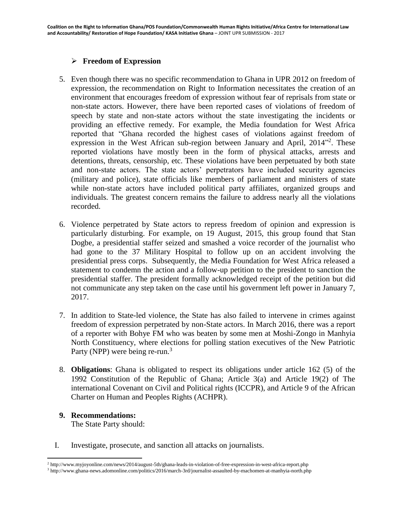# **Freedom of Expression**

- 5. Even though there was no specific recommendation to Ghana in UPR 2012 on freedom of expression, the recommendation on Right to Information necessitates the creation of an environment that encourages freedom of expression without fear of reprisals from state or non-state actors. However, there have been reported cases of violations of freedom of speech by state and non-state actors without the state investigating the incidents or providing an effective remedy. For example, the Media foundation for West Africa reported that "Ghana recorded the highest cases of violations against freedom of expression in the West African sub-region between January and April, 2014<sup>12</sup>. These reported violations have mostly been in the form of physical attacks, arrests and detentions, threats, censorship, etc. These violations have been perpetuated by both state and non-state actors. The state actors' perpetrators have included security agencies (military and police), state officials like members of parliament and ministers of state while non-state actors have included political party affiliates, organized groups and individuals. The greatest concern remains the failure to address nearly all the violations recorded.
- 6. Violence perpetrated by State actors to repress freedom of opinion and expression is particularly disturbing. For example, on 19 August, 2015, this group found that Stan Dogbe, a presidential staffer seized and smashed a voice recorder of the journalist who had gone to the 37 Military Hospital to follow up on an accident involving the presidential press corps. Subsequently, the Media Foundation for West Africa released a statement to condemn the action and a follow-up petition to the president to sanction the presidential staffer. The president formally acknowledged receipt of the petition but did not communicate any step taken on the case until his government left power in January 7, 2017.
- 7. In addition to State-led violence, the State has also failed to intervene in crimes against freedom of expression perpetrated by non-State actors. In March 2016, there was a report of a reporter with Bohye FM who was beaten by some men at Moshi-Zongo in Manhyia North Constituency, where elections for polling station executives of the New Patriotic Party (NPP) were being re-run.<sup>3</sup>
- 8. **Obligations**: Ghana is obligated to respect its obligations under article 162 (5) of the 1992 Constitution of the Republic of Ghana; Article 3(a) and Article 19(2) of The international Covenant on Civil and Political rights (ICCPR), and Article 9 of the African Charter on Human and Peoples Rights (ACHPR).

# **9. Recommendations:**

The State Party should:

I. Investigate, prosecute, and sanction all attacks on journalists.

 $\overline{\phantom{a}}$ <sup>2</sup> http://www.myjoyonline.com/news/2014/august-5th/ghana-leads-in-violation-of-free-expression-in-west-africa-report.php

<sup>3</sup> http://www.ghana-news.adomonline.com/politics/2016/march-3rd/journalist-assaulted-by-machomen-at-manhyia-north.php